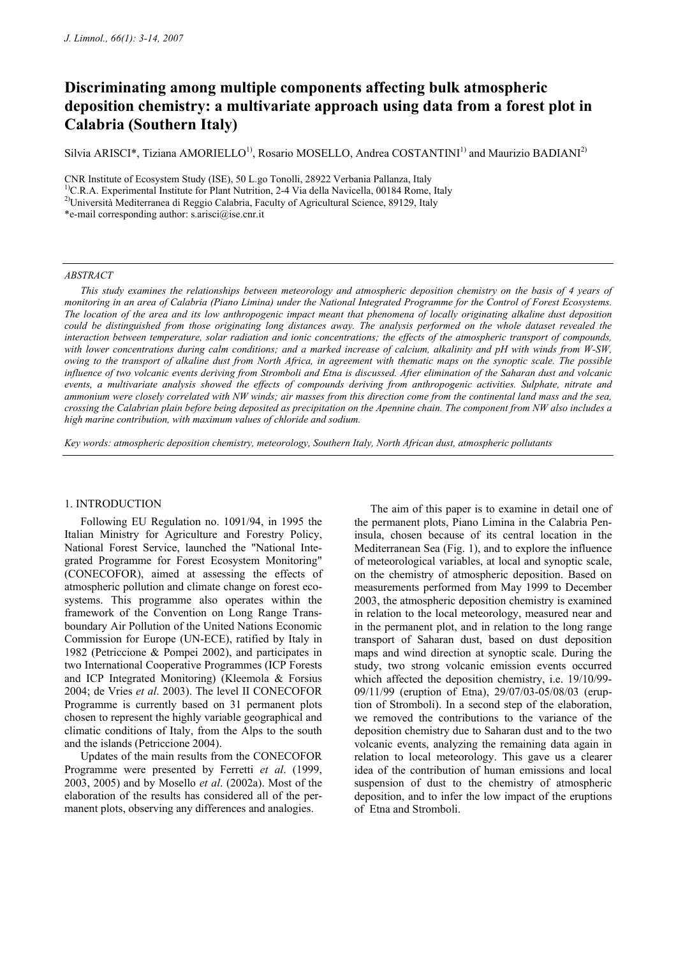# **Discriminating among multiple components affecting bulk atmospheric deposition chemistry: a multivariate approach using data from a forest plot in Calabria (Southern Italy)**

Silvia ARISCI\*, Tiziana AMORIELLO<sup>1)</sup>, Rosario MOSELLO, Andrea COSTANTINI<sup>1)</sup> and Maurizio BADIANI<sup>2)</sup>

CNR Institute of Ecosystem Study (ISE), 50 L.go Tonolli, 28922 Verbania Pallanza, Italy

 $1$ <sup>1</sup>C.R.A. Experimental Institute for Plant Nutrition, 2-4 Via della Navicella, 00184 Rome, Italy

<sup>2)</sup>Università Mediterranea di Reggio Calabria, Faculty of Agricultural Science, 89129, Italy

\*e-mail corresponding author: s.arisci@ise.cnr.it

#### *ABSTRACT*

*This study examines the relationships between meteorology and atmospheric deposition chemistry on the basis of 4 years of monitoring in an area of Calabria (Piano Limina) under the National Integrated Programme for the Control of Forest Ecosystems. The location of the area and its low anthropogenic impact meant that phenomena of locally originating alkaline dust deposition could be distinguished from those originating long distances away. The analysis performed on the whole dataset revealed the interaction between temperature, solar radiation and ionic concentrations; the effects of the atmospheric transport of compounds, with lower concentrations during calm conditions; and a marked increase of calcium, alkalinity and pH with winds from W-SW, owing to the transport of alkaline dust from North Africa, in agreement with thematic maps on the synoptic scale. The possible influence of two volcanic events deriving from Stromboli and Etna is discussed. After elimination of the Saharan dust and volcanic events, a multivariate analysis showed the effects of compounds deriving from anthropogenic activities. Sulphate, nitrate and ammonium were closely correlated with NW winds; air masses from this direction come from the continental land mass and the sea, crossing the Calabrian plain before being deposited as precipitation on the Apennine chain. The component from NW also includes a high marine contribution, with maximum values of chloride and sodium.* 

*Key words: atmospheric deposition chemistry, meteorology, Southern Italy, North African dust, atmospheric pollutants* 

## 1. INTRODUCTION

Following EU Regulation no. 1091/94, in 1995 the Italian Ministry for Agriculture and Forestry Policy, National Forest Service, launched the "National Integrated Programme for Forest Ecosystem Monitoring" (CONECOFOR), aimed at assessing the effects of atmospheric pollution and climate change on forest ecosystems. This programme also operates within the framework of the Convention on Long Range Transboundary Air Pollution of the United Nations Economic Commission for Europe (UN-ECE), ratified by Italy in 1982 (Petriccione & Pompei 2002), and participates in two International Cooperative Programmes (ICP Forests and ICP Integrated Monitoring) (Kleemola & Forsius 2004; de Vries *et al*. 2003). The level II CONECOFOR Programme is currently based on 31 permanent plots chosen to represent the highly variable geographical and climatic conditions of Italy, from the Alps to the south and the islands (Petriccione 2004).

Updates of the main results from the CONECOFOR Programme were presented by Ferretti *et al*. (1999, 2003, 2005) and by Mosello *et al*. (2002a). Most of the elaboration of the results has considered all of the permanent plots, observing any differences and analogies.

The aim of this paper is to examine in detail one of the permanent plots, Piano Limina in the Calabria Peninsula, chosen because of its central location in the Mediterranean Sea (Fig. 1), and to explore the influence of meteorological variables, at local and synoptic scale, on the chemistry of atmospheric deposition. Based on measurements performed from May 1999 to December 2003, the atmospheric deposition chemistry is examined in relation to the local meteorology, measured near and in the permanent plot, and in relation to the long range transport of Saharan dust, based on dust deposition maps and wind direction at synoptic scale. During the study, two strong volcanic emission events occurred which affected the deposition chemistry, i.e. 19/10/99- 09/11/99 (eruption of Etna), 29/07/03-05/08/03 (eruption of Stromboli). In a second step of the elaboration, we removed the contributions to the variance of the deposition chemistry due to Saharan dust and to the two volcanic events, analyzing the remaining data again in relation to local meteorology. This gave us a clearer idea of the contribution of human emissions and local suspension of dust to the chemistry of atmospheric deposition, and to infer the low impact of the eruptions of Etna and Stromboli.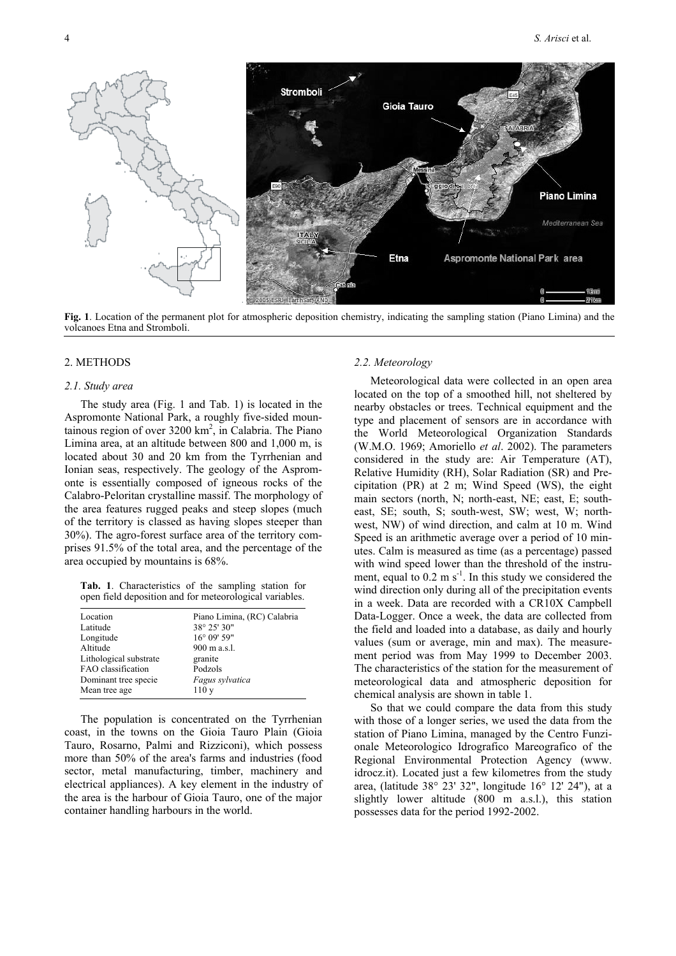

**Fig. 1**. Location of the permanent plot for atmospheric deposition chemistry, indicating the sampling station (Piano Limina) and the volcanoes Etna and Stromboli.

#### 2. METHODS

## *2.1. Study area*

The study area (Fig. 1 and Tab. 1) is located in the Aspromonte National Park, a roughly five-sided mountainous region of over  $3200 \text{ km}^2$ , in Calabria. The Piano Limina area, at an altitude between 800 and 1,000 m, is located about 30 and 20 km from the Tyrrhenian and Ionian seas, respectively. The geology of the Aspromonte is essentially composed of igneous rocks of the Calabro-Peloritan crystalline massif. The morphology of the area features rugged peaks and steep slopes (much of the territory is classed as having slopes steeper than 30%). The agro-forest surface area of the territory comprises 91.5% of the total area, and the percentage of the area occupied by mountains is 68%.

**Tab. 1**. Characteristics of the sampling station for open field deposition and for meteorological variables.

| Location               | Piano Limina, (RC) Calabria |
|------------------------|-----------------------------|
| Latitude               | 38° 25' 30"                 |
| Longitude              | 16° 09' 59"                 |
| Altitude               | 900 m a.s.l.                |
| Lithological substrate | granite                     |
| FAO classification     | Podzols                     |
| Dominant tree specie   | Fagus sylvatica             |
| Mean tree age          | 110v                        |

The population is concentrated on the Tyrrhenian coast, in the towns on the Gioia Tauro Plain (Gioia Tauro, Rosarno, Palmi and Rizziconi), which possess more than 50% of the area's farms and industries (food sector, metal manufacturing, timber, machinery and electrical appliances). A key element in the industry of the area is the harbour of Gioia Tauro, one of the major container handling harbours in the world.

#### *2.2. Meteorology*

Meteorological data were collected in an open area located on the top of a smoothed hill, not sheltered by nearby obstacles or trees. Technical equipment and the type and placement of sensors are in accordance with the World Meteorological Organization Standards (W.M.O. 1969; Amoriello *et al*. 2002). The parameters considered in the study are: Air Temperature (AT), Relative Humidity (RH), Solar Radiation (SR) and Precipitation (PR) at 2 m; Wind Speed (WS), the eight main sectors (north, N; north-east, NE; east, E; southeast, SE; south, S; south-west, SW; west, W; northwest, NW) of wind direction, and calm at 10 m. Wind Speed is an arithmetic average over a period of 10 minutes. Calm is measured as time (as a percentage) passed with wind speed lower than the threshold of the instrument, equal to  $0.2 \text{ m s}^{-1}$ . In this study we considered the wind direction only during all of the precipitation events in a week. Data are recorded with a CR10X Campbell Data-Logger. Once a week, the data are collected from the field and loaded into a database, as daily and hourly values (sum or average, min and max). The measurement period was from May 1999 to December 2003. The characteristics of the station for the measurement of meteorological data and atmospheric deposition for chemical analysis are shown in table 1.

So that we could compare the data from this study with those of a longer series, we used the data from the station of Piano Limina, managed by the Centro Funzionale Meteorologico Idrografico Mareografico of the Regional Environmental Protection Agency (www. idrocz.it). Located just a few kilometres from the study area, (latitude 38° 23' 32", longitude 16° 12' 24"), at a slightly lower altitude (800 m a.s.l.), this station possesses data for the period 1992-2002.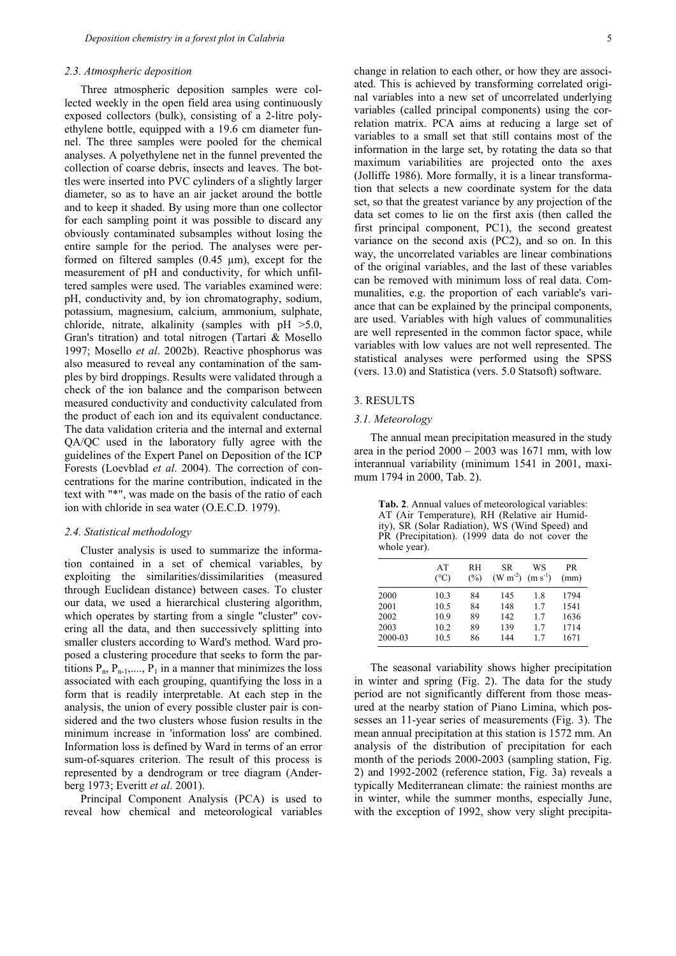#### *2.3. Atmospheric deposition*

Three atmospheric deposition samples were collected weekly in the open field area using continuously exposed collectors (bulk), consisting of a 2-litre polyethylene bottle, equipped with a 19.6 cm diameter funnel. The three samples were pooled for the chemical analyses. A polyethylene net in the funnel prevented the collection of coarse debris, insects and leaves. The bottles were inserted into PVC cylinders of a slightly larger diameter, so as to have an air jacket around the bottle and to keep it shaded. By using more than one collector for each sampling point it was possible to discard any obviously contaminated subsamples without losing the entire sample for the period. The analyses were performed on filtered samples  $(0.45 \mu m)$ , except for the measurement of pH and conductivity, for which unfiltered samples were used. The variables examined were: pH, conductivity and, by ion chromatography, sodium, potassium, magnesium, calcium, ammonium, sulphate, chloride, nitrate, alkalinity (samples with  $pH > 5.0$ , Gran's titration) and total nitrogen (Tartari & Mosello 1997; Mosello *et al*. 2002b). Reactive phosphorus was also measured to reveal any contamination of the samples by bird droppings. Results were validated through a check of the ion balance and the comparison between measured conductivity and conductivity calculated from the product of each ion and its equivalent conductance. The data validation criteria and the internal and external QA/QC used in the laboratory fully agree with the guidelines of the Expert Panel on Deposition of the ICP Forests (Loevblad *et al*. 2004). The correction of concentrations for the marine contribution, indicated in the text with "\*", was made on the basis of the ratio of each ion with chloride in sea water (O.E.C.D. 1979).

#### *2.4. Statistical methodology*

Cluster analysis is used to summarize the information contained in a set of chemical variables, by exploiting the similarities/dissimilarities (measured through Euclidean distance) between cases. To cluster our data, we used a hierarchical clustering algorithm, which operates by starting from a single "cluster" covering all the data, and then successively splitting into smaller clusters according to Ward's method. Ward proposed a clustering procedure that seeks to form the partitions  $P_n$ ,  $P_{n-1},..., P_1$  in a manner that minimizes the loss associated with each grouping, quantifying the loss in a form that is readily interpretable. At each step in the analysis, the union of every possible cluster pair is considered and the two clusters whose fusion results in the minimum increase in 'information loss' are combined. Information loss is defined by Ward in terms of an error sum-of-squares criterion. The result of this process is represented by a dendrogram or tree diagram (Anderberg 1973; Everitt *et al*. 2001).

Principal Component Analysis (PCA) is used to reveal how chemical and meteorological variables change in relation to each other, or how they are associated. This is achieved by transforming correlated original variables into a new set of uncorrelated underlying variables (called principal components) using the correlation matrix. PCA aims at reducing a large set of variables to a small set that still contains most of the information in the large set, by rotating the data so that maximum variabilities are projected onto the axes (Jolliffe 1986). More formally, it is a linear transformation that selects a new coordinate system for the data set, so that the greatest variance by any projection of the data set comes to lie on the first axis (then called the first principal component, PC1), the second greatest variance on the second axis (PC2), and so on. In this way, the uncorrelated variables are linear combinations of the original variables, and the last of these variables can be removed with minimum loss of real data. Communalities, e.g. the proportion of each variable's variance that can be explained by the principal components, are used. Variables with high values of communalities are well represented in the common factor space, while variables with low values are not well represented. The statistical analyses were performed using the SPSS (vers. 13.0) and Statistica (vers. 5.0 Statsoft) software.

## 3. RESULTS

#### *3.1. Meteorology*

The annual mean precipitation measured in the study area in the period  $2000 - 2003$  was 1671 mm, with low interannual variability (minimum 1541 in 2001, maximum 1794 in 2000, Tab. 2).

**Tab. 2**. Annual values of meteorological variables: AT (Air Temperature), RH (Relative air Humidity), SR (Solar Radiation), WS (Wind Speed) and PR (Precipitation). (1999 data do not cover the whole year).

|         | AT            | RH  | <b>SR</b>    | WS           | PR   |
|---------|---------------|-----|--------------|--------------|------|
|         | $(^{\circ}C)$ | (%) | $(W m^{-2})$ | $(m s^{-1})$ | (mm) |
| 2000    | 10.3          | 84  | 145          | 1.8          | 1794 |
| 2001    | 10.5          | 84  | 148          | 1.7          | 1541 |
| 2002    | 10.9          | 89  | 142          | 1.7          | 1636 |
| 2003    | 10.2          | 89  | 139          | 1.7          | 1714 |
| 2000-03 | 10.5          | 86  | 144          | 17           | 1671 |

The seasonal variability shows higher precipitation in winter and spring (Fig. 2). The data for the study period are not significantly different from those measured at the nearby station of Piano Limina, which possesses an 11-year series of measurements (Fig. 3). The mean annual precipitation at this station is 1572 mm. An analysis of the distribution of precipitation for each month of the periods 2000-2003 (sampling station, Fig. 2) and 1992-2002 (reference station, Fig. 3a) reveals a typically Mediterranean climate: the rainiest months are in winter, while the summer months, especially June, with the exception of 1992, show very slight precipita-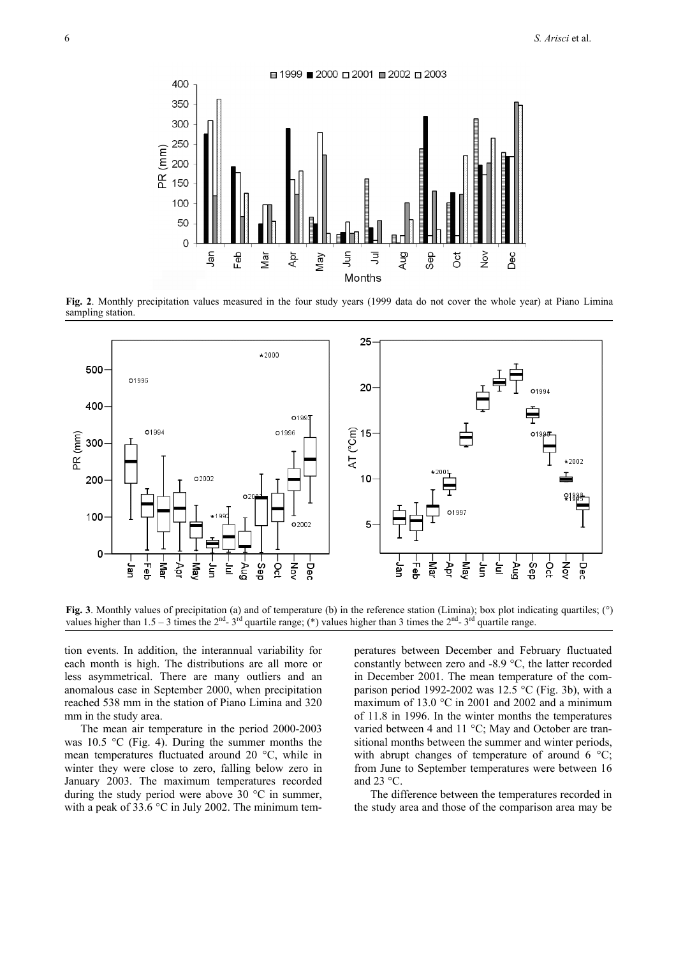

**Fig. 2**. Monthly precipitation values measured in the four study years (1999 data do not cover the whole year) at Piano Limina sampling station.



**Fig. 3**. Monthly values of precipitation (a) and of temperature (b) in the reference station (Limina); box plot indicating quartiles; (°) values higher than  $1.5 - 3$  times the  $2^{nd}$ -  $3^{rd}$  quartile range; (\*) values higher than 3 times the  $2^{nd}$ -  $3^{rd}$  quartile range.

tion events. In addition, the interannual variability for each month is high. The distributions are all more or less asymmetrical. There are many outliers and an anomalous case in September 2000, when precipitation reached 538 mm in the station of Piano Limina and 320 mm in the study area.

The mean air temperature in the period 2000-2003 was 10.5 °C (Fig. 4). During the summer months the mean temperatures fluctuated around 20 °C, while in winter they were close to zero, falling below zero in January 2003. The maximum temperatures recorded during the study period were above 30 °C in summer, with a peak of 33.6 °C in July 2002. The minimum temperatures between December and February fluctuated constantly between zero and -8.9 °C, the latter recorded in December 2001. The mean temperature of the comparison period 1992-2002 was 12.5 °C (Fig. 3b), with a maximum of 13.0 °C in 2001 and 2002 and a minimum of 11.8 in 1996. In the winter months the temperatures varied between 4 and 11 °C; May and October are transitional months between the summer and winter periods, with abrupt changes of temperature of around 6  $^{\circ}$ C: from June to September temperatures were between 16 and  $23 \text{ °C}$ .

The difference between the temperatures recorded in the study area and those of the comparison area may be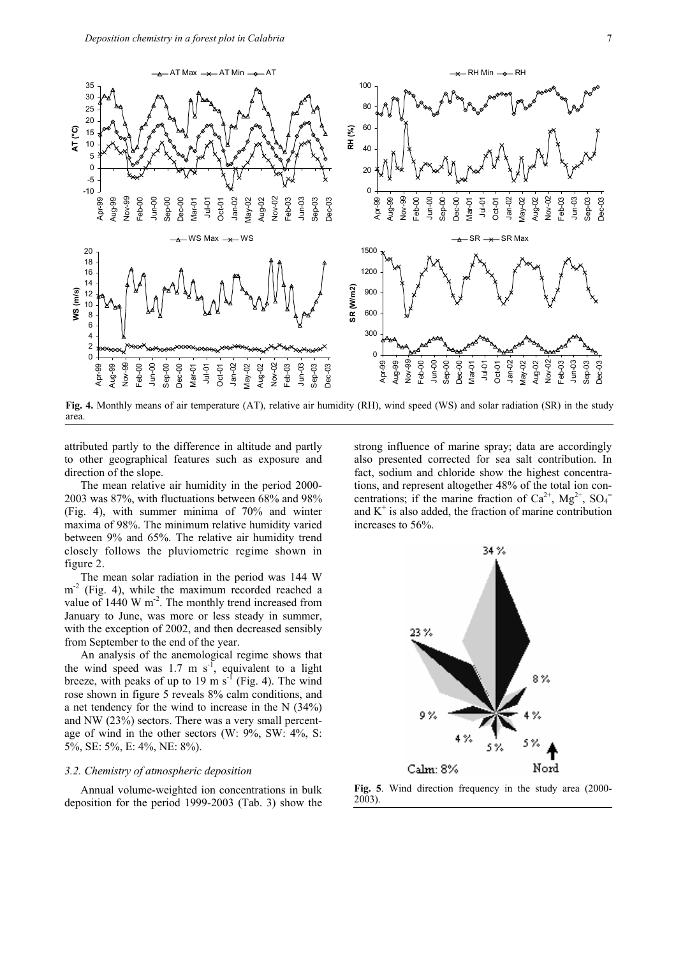

**Fig. 4.** Monthly means of air temperature (AT), relative air humidity (RH), wind speed (WS) and solar radiation (SR) in the study area.

attributed partly to the difference in altitude and partly to other geographical features such as exposure and direction of the slope.

The mean relative air humidity in the period 2000- 2003 was 87%, with fluctuations between 68% and 98% (Fig. 4), with summer minima of 70% and winter maxima of 98%. The minimum relative humidity varied between 9% and 65%. The relative air humidity trend closely follows the pluviometric regime shown in figure 2.

The mean solar radiation in the period was 144 W m<sup>-2</sup> (Fig. 4), while the maximum recorded reached a value of  $1440 \text{ W m}^2$ . The monthly trend increased from January to June, was more or less steady in summer, with the exception of 2002, and then decreased sensibly from September to the end of the year.

An analysis of the anemological regime shows that the wind speed was  $1.7 \text{ m s}^{-1}$ , equivalent to a light breeze, with peaks of up to 19 m s<sup>-1</sup> (Fig. 4). The wind rose shown in figure 5 reveals 8% calm conditions, and a net tendency for the wind to increase in the N (34%) and NW (23%) sectors. There was a very small percentage of wind in the other sectors  $(W: 9\%, SW: 4\%, S)$ : 5%, SE: 5%, E: 4%, NE: 8%).

## *3.2. Chemistry of atmospheric deposition*

Annual volume-weighted ion concentrations in bulk deposition for the period 1999-2003 (Tab. 3) show the strong influence of marine spray; data are accordingly also presented corrected for sea salt contribution. In fact, sodium and chloride show the highest concentrations, and represent altogether 48% of the total ion concentrations; if the marine fraction of  $Ca^{2+}$ ,  $Mg^{2+}$ ,  $SO_4^$ and  $K^+$  is also added, the fraction of marine contribution increases to 56%.



**Fig. 5**. Wind direction frequency in the study area (2000- 2003).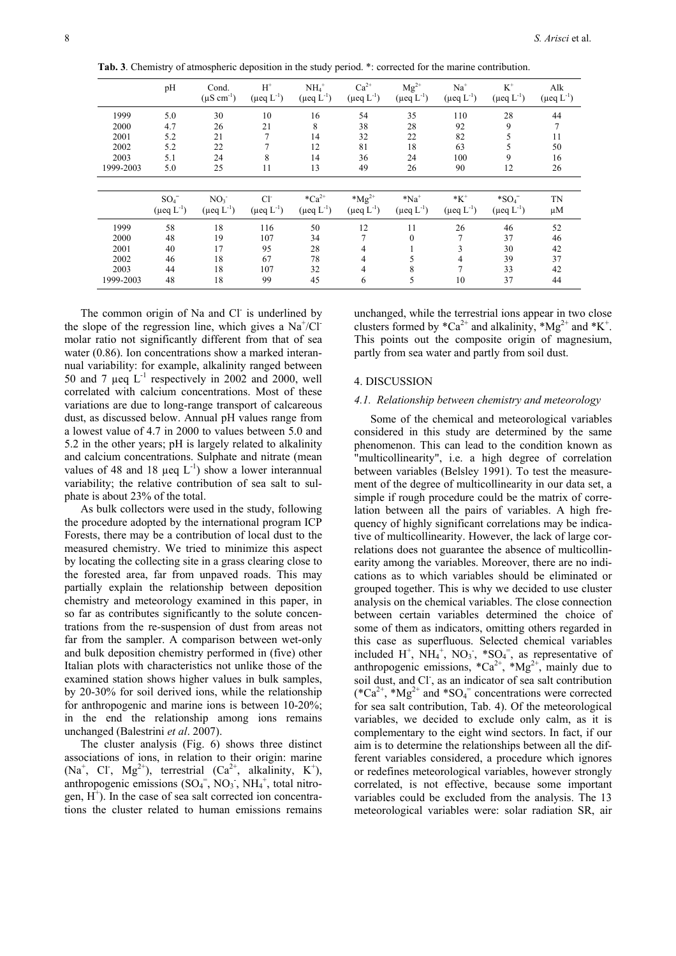|  |  |  |  |  | Tab. 3. Chemistry of atmospheric deposition in the study period. *: corrected for the marine contribution. |
|--|--|--|--|--|------------------------------------------------------------------------------------------------------------|
|--|--|--|--|--|------------------------------------------------------------------------------------------------------------|

|           | pH                  | Cond.<br>$(\mu S \text{ cm}^{-1})$ | $H^+$<br>$(\mu$ eq L <sup>-1</sup> ) | $NH4+$<br>$(\mu$ eq L <sup>-1</sup> ) | $Ca^{2+}$<br>$(\mu$ eq $L^{-1})$ | $Mg^{2+}$<br>$(\mu$ eq $L^{-1})$ | $Na+$<br>$(\mu$ eq L <sup>-1</sup> ) | $K^+$<br>$(\mu$ eq $L^{-1})$ | Alk<br>$(\mu$ eq $L^{-1})$ |
|-----------|---------------------|------------------------------------|--------------------------------------|---------------------------------------|----------------------------------|----------------------------------|--------------------------------------|------------------------------|----------------------------|
| 1999      | 5.0                 | 30                                 | 10                                   | 16                                    | 54                               | 35                               | 110                                  | 28                           | 44                         |
| 2000      | 4.7                 | 26                                 | 21                                   | 8                                     | 38                               | 28                               | 92                                   | 9                            | $\tau$                     |
| 2001      | 5.2                 | 21                                 | 7                                    | 14                                    | 32                               | 22                               | 82                                   | 5                            | 11                         |
| 2002      | 5.2                 | 22                                 | 7                                    | 12                                    | 81                               | 18                               | 63                                   |                              | 50                         |
| 2003      | 5.1                 | 24                                 | 8                                    | 14                                    | 36                               | 24                               | 100                                  | 9                            | 16                         |
| 1999-2003 | 5.0                 | 25                                 | 11                                   | 13                                    | 49                               | 26                               | 90                                   | 12                           | 26                         |
|           |                     |                                    |                                      |                                       |                                  |                                  |                                      |                              |                            |
|           | $SO_4^-$            | NO <sub>3</sub>                    | $Cl-$                                | $*Ca^{2+}$                            | * $Mg^{2+}$                      | $*Na^+$                          | $*_{K^+}$                            | $*SO_4$                      | <b>TN</b>                  |
|           | $(\mu$ eq $L^{-1})$ | $(\mu$ eq L <sup>-1</sup> )        | $(\mu$ eq $L^{-1})$                  | $(\mu$ eq $L^{-1})$                   | $(\mu$ eq L <sup>-1</sup> )      | $(\mu$ eq $L^{-1})$              | $(\mu$ eq $L^{-1})$                  | $(\mu$ eq L <sup>-1</sup> )  | $\mu$ M                    |
| 1999      | 58                  | 18                                 | 116                                  | 50                                    | 12                               | 11                               | 26                                   | 46                           | 52                         |
| 2000      | 48                  | 19                                 | 107                                  | 34                                    | 7                                | $\mathbf{0}$                     | 7                                    | 37                           | 46                         |
| 2001      | 40                  | 17                                 | 95                                   | 28                                    | 4                                |                                  | 3                                    | 30                           | 42                         |
| 2002      | 46                  | 18                                 | 67                                   | 78                                    | 4                                | 5                                | 4                                    | 39                           | 37                         |
| 2003      | 44                  | 18                                 | 107                                  | 32                                    | 4                                | 8                                | 7                                    | 33                           | 42                         |
| 1999-2003 | 48                  | 18                                 | 99                                   | 45                                    | 6                                | 5                                | 10                                   | 37                           | 44                         |

The common origin of Na and Cl is underlined by the slope of the regression line, which gives a  $Na^+/Cl^$ molar ratio not significantly different from that of sea water (0.86). Ion concentrations show a marked interannual variability: for example, alkalinity ranged between 50 and 7  $\mu$ eq  $L^{-1}$  respectively in 2002 and 2000, well correlated with calcium concentrations. Most of these variations are due to long-range transport of calcareous dust, as discussed below. Annual pH values range from a lowest value of 4.7 in 2000 to values between 5.0 and 5.2 in the other years; pH is largely related to alkalinity and calcium concentrations. Sulphate and nitrate (mean values of 48 and 18  $\mu$ eq L<sup>-1</sup>) show a lower interannual variability; the relative contribution of sea salt to sulphate is about 23% of the total.

As bulk collectors were used in the study, following the procedure adopted by the international program ICP Forests, there may be a contribution of local dust to the measured chemistry. We tried to minimize this aspect by locating the collecting site in a grass clearing close to the forested area, far from unpaved roads. This may partially explain the relationship between deposition chemistry and meteorology examined in this paper, in so far as contributes significantly to the solute concentrations from the re-suspension of dust from areas not far from the sampler. A comparison between wet-only and bulk deposition chemistry performed in (five) other Italian plots with characteristics not unlike those of the examined station shows higher values in bulk samples, by 20-30% for soil derived ions, while the relationship for anthropogenic and marine ions is between 10-20%; in the end the relationship among ions remains unchanged (Balestrini *et al*. 2007).

The cluster analysis (Fig. 6) shows three distinct associations of ions, in relation to their origin: marine  $(Na^+$ , Cl<sup>-</sup>, Mg<sup>2+</sup>), terrestrial  $(Ca^{2+}$ , alkalinity, K<sup>+</sup>), anthropogenic emissions  $(SO<sub>4</sub><sup>=</sup>, NO<sub>3</sub>, NH<sub>4</sub><sup>+</sup>, total nitro$ gen,  $H^+$ ). In the case of sea salt corrected ion concentrations the cluster related to human emissions remains

unchanged, while the terrestrial ions appear in two close clusters formed by  $^{\ast}Ca^{2+}$  and alkalinity,  $^{\ast}Mg^{2+}$  and  $^{\ast}K^{+}$ . This points out the composite origin of magnesium, partly from sea water and partly from soil dust.

## 4. DISCUSSION

## *4.1. Relationship between chemistry and meteorology*

Some of the chemical and meteorological variables considered in this study are determined by the same phenomenon. This can lead to the condition known as "multicollinearity", i.e. a high degree of correlation between variables (Belsley 1991). To test the measurement of the degree of multicollinearity in our data set, a simple if rough procedure could be the matrix of correlation between all the pairs of variables. A high frequency of highly significant correlations may be indicative of multicollinearity. However, the lack of large correlations does not guarantee the absence of multicollinearity among the variables. Moreover, there are no indications as to which variables should be eliminated or grouped together. This is why we decided to use cluster analysis on the chemical variables. The close connection between certain variables determined the choice of some of them as indicators, omitting others regarded in this case as superfluous. Selected chemical variables included  $H^+$ ,  $NH_4^+$ ,  $NO_3^-$ ,  $SO_4^=$ , as representative of anthropogenic emissions,  $*Ca^{2+}$ ,  $*Mg^{2+}$ , mainly due to soil dust, and Cl<sup>-</sup>, as an indicator of sea salt contribution  $(*Ca<sup>2+</sup>, *Mg<sup>2+</sup>$  and  $*SO<sub>4</sub><sup>=</sup>$  concentrations were corrected for sea salt contribution, Tab. 4). Of the meteorological variables, we decided to exclude only calm, as it is complementary to the eight wind sectors. In fact, if our aim is to determine the relationships between all the different variables considered, a procedure which ignores or redefines meteorological variables, however strongly correlated, is not effective, because some important variables could be excluded from the analysis. The 13 meteorological variables were: solar radiation SR, air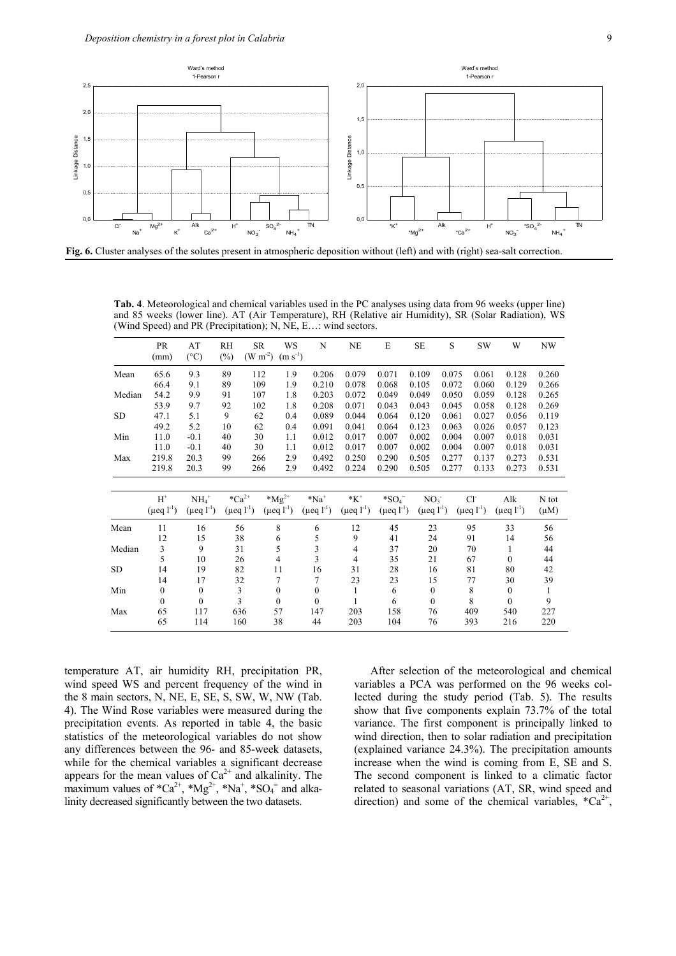

**Tab. 4**. Meteorological and chemical variables used in the PC analyses using data from 96 weeks (upper line) and 85 weeks (lower line). AT (Air Temperature), RH (Relative air Humidity), SR (Solar Radiation), WS (Wind Speed) and PR (Precipitation); N, NE, E…: wind sectors.

|        | PR<br>(mm)                           | AT<br>$(^{\circ}C)$                   | RH<br>$(\%)$                               | <b>SR</b><br>$(W m-2)$                    | WS<br>$(m s-1)$ | N                                      | NE                                       | E                                                   | <b>SE</b>                                      | S              | <b>SW</b>                            | W                                  | <b>NW</b>          |
|--------|--------------------------------------|---------------------------------------|--------------------------------------------|-------------------------------------------|-----------------|----------------------------------------|------------------------------------------|-----------------------------------------------------|------------------------------------------------|----------------|--------------------------------------|------------------------------------|--------------------|
| Mean   | 65.6<br>66.4                         | 9.3<br>9.1                            | 89<br>89                                   | 112<br>109                                | 1.9<br>1.9      | 0.206<br>0.210                         | 0.079<br>0.078                           | 0.071<br>0.068                                      | 0.109<br>0.105                                 | 0.075<br>0.072 | 0.061<br>0.060                       | 0.128<br>0.129                     | 0.260<br>0.266     |
| Median | 54.2<br>53.9                         | 9.9<br>9.7                            | 91<br>92                                   | 107<br>102                                | 1.8<br>1.8      | 0.203<br>0.208                         | 0.072<br>0.071                           | 0.049<br>0.043                                      | 0.049<br>0.043                                 | 0.050<br>0.045 | 0.059<br>0.058                       | 0.128<br>0.128                     | 0.265<br>0.269     |
| SD     | 47.1<br>49.2                         | 5.1<br>5.2                            | 9<br>10                                    | 62<br>62                                  | 0.4<br>0.4      | 0.089<br>0.091                         | 0.044<br>0.041                           | 0.064<br>0.064                                      | 0.120<br>0.123                                 | 0.061<br>0.063 | 0.027<br>0.026                       | 0.056<br>0.057                     | 0.119<br>0.123     |
| Min    | 11.0<br>11.0                         | $-0.1$<br>$-0.1$                      | 40<br>40                                   | 30<br>30                                  | 1.1<br>1.1      | 0.012<br>0.012                         | 0.017<br>0.017                           | 0.007<br>0.007                                      | 0.002<br>0.002                                 | 0.004<br>0.004 | 0.007<br>0.007                       | 0.018<br>0.018                     | 0.031<br>0.031     |
| Max    | 219.8<br>219.8                       | 20.3<br>20.3                          | 99<br>99                                   | 266<br>266                                | 2.9<br>2.9      | 0.492<br>0.492                         | 0.250<br>0.224                           | 0.290<br>0.290                                      | 0.505<br>0.505                                 | 0.277<br>0.277 | 0.137<br>0.133                       | 0.273<br>0.273                     | 0.531<br>0.531     |
|        | $H^+$<br>$(\mu$ eq l <sup>-1</sup> ) | $NH4+$<br>$(\mu$ eq l <sup>-1</sup> ) | * $Ca^{2+}$<br>$(\mu$ eq l <sup>-1</sup> ) | $*Mg^{2+}$<br>$(\mu$ eq l <sup>-1</sup> ) |                 | $*Na^+$<br>$(\mu$ eq l <sup>-1</sup> ) | $*_{K^+}$<br>$(\mu$ eq l <sup>-1</sup> ) | $*SO_4$ <sup>=</sup><br>$(\mu$ eq l <sup>-1</sup> ) | NO <sub>3</sub><br>$(\mu$ eq l <sup>-1</sup> ) |                | $Cl-$<br>$(\mu$ eq l <sup>-1</sup> ) | Alk<br>$(\mu$ eq l <sup>-1</sup> ) | N tot<br>$(\mu M)$ |
| Mean   | 11<br>12                             | 16<br>15                              | 56<br>38                                   | 8<br>6                                    |                 | 6<br>5                                 | 12<br>9                                  | 45<br>41                                            | 23<br>24                                       |                | 95<br>91                             | 33<br>14                           | 56<br>56           |
| Median | 3<br>5                               | 9<br>10                               | 31<br>26                                   | 5<br>$\overline{4}$                       |                 | 3<br>3                                 | $\overline{4}$<br>$\overline{4}$         | 37<br>35                                            | 20<br>21                                       |                | 70<br>67                             | 1<br>$\theta$                      | 44<br>44           |
| SD     | 14<br>14                             | 19<br>17                              | 82<br>32                                   | 11<br>7                                   |                 | 16<br>7                                | 31<br>23                                 | 28<br>23                                            | 16<br>15                                       |                | 81<br>77                             | 80<br>30                           | 42<br>39           |
| Min    | $\mathbf{0}$<br>$\theta$             | $\mathbf{0}$<br>$\theta$              | 3<br>3                                     | $\mathbf{0}$<br>$\theta$                  |                 | $\theta$<br>$\theta$                   | 1<br>1                                   | 6<br>6                                              | $\mathbf{0}$<br>$\theta$                       |                | 8<br>8                               | $\mathbf{0}$<br>$\theta$           | $\mathbf{1}$<br>9  |
| Max    | 65<br>65                             | 117<br>114                            | 636<br>160                                 | 57<br>38                                  |                 | 147<br>44                              | 203<br>203                               | 158<br>104                                          | 76<br>76                                       |                | 409<br>393                           | 540<br>216                         | 227<br>220         |

temperature AT, air humidity RH, precipitation PR, wind speed WS and percent frequency of the wind in the 8 main sectors, N, NE, E, SE, S, SW, W, NW (Tab. 4). The Wind Rose variables were measured during the precipitation events. As reported in table 4, the basic statistics of the meteorological variables do not show any differences between the 96- and 85-week datasets, while for the chemical variables a significant decrease appears for the mean values of  $Ca^{2+}$  and alkalinity. The maximum values of  $^{\ast}Ca^{2+}$ ,  $^{\ast}Mg^{2+}$ ,  $^{\ast}Na^{+}$ ,  $^{\ast}SO_{4}^{-}$  and alkalinity decreased significantly between the two datasets.

After selection of the meteorological and chemical variables a PCA was performed on the 96 weeks collected during the study period (Tab. 5). The results show that five components explain 73.7% of the total variance. The first component is principally linked to wind direction, then to solar radiation and precipitation (explained variance 24.3%). The precipitation amounts increase when the wind is coming from E, SE and S. The second component is linked to a climatic factor related to seasonal variations (AT, SR, wind speed and direction) and some of the chemical variables,  $^{\ast}Ca^{2+}$ ,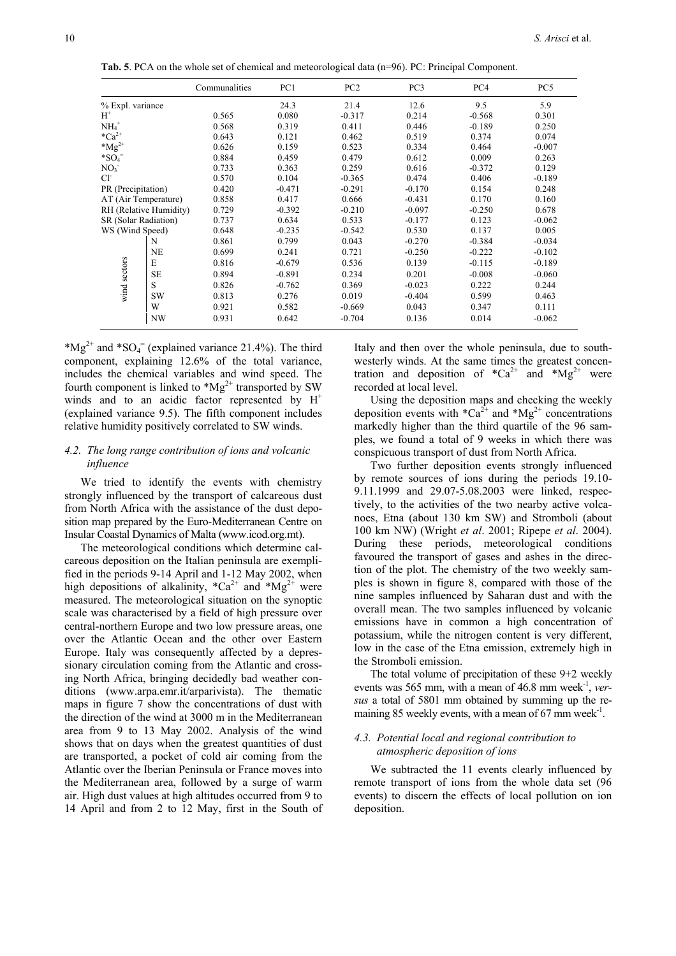**Tab. 5**. PCA on the whole set of chemical and meteorological data (n=96). PC: Principal Component.

|             | Communalities                                                                                                                                   | PC1      | PC <sub>2</sub> | PC <sub>3</sub> | PC4      | PC5      |
|-------------|-------------------------------------------------------------------------------------------------------------------------------------------------|----------|-----------------|-----------------|----------|----------|
|             |                                                                                                                                                 | 24.3     | 21.4            | 12.6            | 9.5      | 5.9      |
|             | 0.565                                                                                                                                           | 0.080    | $-0.317$        | 0.214           | $-0.568$ | 0.301    |
|             | 0.568                                                                                                                                           | 0.319    | 0.411           | 0.446           | $-0.189$ | 0.250    |
|             | 0.643                                                                                                                                           | 0.121    | 0.462           | 0.519           | 0.374    | 0.074    |
|             | 0.626                                                                                                                                           | 0.159    | 0.523           | 0.334           | 0.464    | $-0.007$ |
|             | 0.884                                                                                                                                           | 0.459    | 0.479           | 0.612           | 0.009    | 0.263    |
|             | 0.733                                                                                                                                           | 0.363    | 0.259           | 0.616           | $-0.372$ | 0.129    |
|             | 0.570                                                                                                                                           | 0.104    | $-0.365$        | 0.474           | 0.406    | $-0.189$ |
|             | 0.420                                                                                                                                           | $-0.471$ | $-0.291$        | $-0.170$        | 0.154    | 0.248    |
|             | 0.858                                                                                                                                           | 0.417    | 0.666           | $-0.431$        | 0.170    | 0.160    |
|             | 0.729                                                                                                                                           | $-0.392$ | $-0.210$        | $-0.097$        | $-0.250$ | 0.678    |
|             | 0.737                                                                                                                                           | 0.634    | 0.533           | $-0.177$        | 0.123    | $-0.062$ |
|             | 0.648                                                                                                                                           | $-0.235$ | $-0.542$        | 0.530           | 0.137    | 0.005    |
| $\mathbf N$ | 0.861                                                                                                                                           | 0.799    | 0.043           | $-0.270$        | $-0.384$ | $-0.034$ |
| <b>NE</b>   | 0.699                                                                                                                                           | 0.241    | 0.721           | $-0.250$        | $-0.222$ | $-0.102$ |
| E           | 0.816                                                                                                                                           | $-0.679$ | 0.536           | 0.139           | $-0.115$ | $-0.189$ |
| <b>SE</b>   | 0.894                                                                                                                                           | $-0.891$ | 0.234           | 0.201           | $-0.008$ | $-0.060$ |
| S           | 0.826                                                                                                                                           | $-0.762$ | 0.369           | $-0.023$        | 0.222    | 0.244    |
| SW          | 0.813                                                                                                                                           | 0.276    | 0.019           | $-0.404$        | 0.599    | 0.463    |
|             |                                                                                                                                                 |          |                 |                 |          | 0.111    |
| <b>NW</b>   | 0.931                                                                                                                                           | 0.642    | $-0.704$        | 0.136           | 0.014    | $-0.062$ |
|             | % Expl. variance<br>PR (Precipitation)<br>AT (Air Temperature)<br>RH (Relative Humidity)<br><b>SR (Solar Radiation)</b><br>WS (Wind Speed)<br>W | 0.921    | 0.582           | $-0.669$        | 0.043    | 0.347    |

\*Mg<sup>2+</sup> and \*SO<sub>4</sub><sup>=</sup> (explained variance 21.4%). The third component, explaining 12.6% of the total variance, includes the chemical variables and wind speed. The fourth component is linked to  $*Mg^{2+}$  transported by SW winds and to an acidic factor represented by  $H^+$ (explained variance 9.5). The fifth component includes relative humidity positively correlated to SW winds.

## *4.2. The long range contribution of ions and volcanic influence*

We tried to identify the events with chemistry strongly influenced by the transport of calcareous dust from North Africa with the assistance of the dust deposition map prepared by the Euro-Mediterranean Centre on Insular Coastal Dynamics of Malta (www.icod.org.mt).

The meteorological conditions which determine calcareous deposition on the Italian peninsula are exemplified in the periods 9-14 April and 1-12 May 2002, when high depositions of alkalinity,  $*Ca^{2+}$  and  $*Mg^{2+}$  were measured. The meteorological situation on the synoptic scale was characterised by a field of high pressure over central-northern Europe and two low pressure areas, one over the Atlantic Ocean and the other over Eastern Europe. Italy was consequently affected by a depressionary circulation coming from the Atlantic and crossing North Africa, bringing decidedly bad weather conditions (www.arpa.emr.it/arparivista). The thematic maps in figure 7 show the concentrations of dust with the direction of the wind at 3000 m in the Mediterranean area from 9 to 13 May 2002. Analysis of the wind shows that on days when the greatest quantities of dust are transported, a pocket of cold air coming from the Atlantic over the Iberian Peninsula or France moves into the Mediterranean area, followed by a surge of warm air. High dust values at high altitudes occurred from 9 to 14 April and from 2 to 12 May, first in the South of

Italy and then over the whole peninsula, due to southwesterly winds. At the same times the greatest concentration and deposition of  $*Ca^{2+}$  and  $*Mg^{2+}$  were recorded at local level.

Using the deposition maps and checking the weekly deposition events with  $*Ca^{2+}$  and  $*Mg^{2+}$  concentrations markedly higher than the third quartile of the 96 samples, we found a total of 9 weeks in which there was conspicuous transport of dust from North Africa.

Two further deposition events strongly influenced by remote sources of ions during the periods 19.10- 9.11.1999 and 29.07-5.08.2003 were linked, respectively, to the activities of the two nearby active volcanoes, Etna (about 130 km SW) and Stromboli (about 100 km NW) (Wright *et al*. 2001; Ripepe *et al*. 2004). During these periods, meteorological conditions favoured the transport of gases and ashes in the direction of the plot. The chemistry of the two weekly samples is shown in figure 8, compared with those of the nine samples influenced by Saharan dust and with the overall mean. The two samples influenced by volcanic emissions have in common a high concentration of potassium, while the nitrogen content is very different, low in the case of the Etna emission, extremely high in the Stromboli emission.

The total volume of precipitation of these 9+2 weekly events was 565 mm, with a mean of 46.8 mm week<sup>-1</sup>, *versus* a total of 5801 mm obtained by summing up the remaining 85 weekly events, with a mean of 67 mm week<sup>-1</sup>.

# *4.3. Potential local and regional contribution to atmospheric deposition of ions*

We subtracted the 11 events clearly influenced by remote transport of ions from the whole data set (96 events) to discern the effects of local pollution on ion deposition.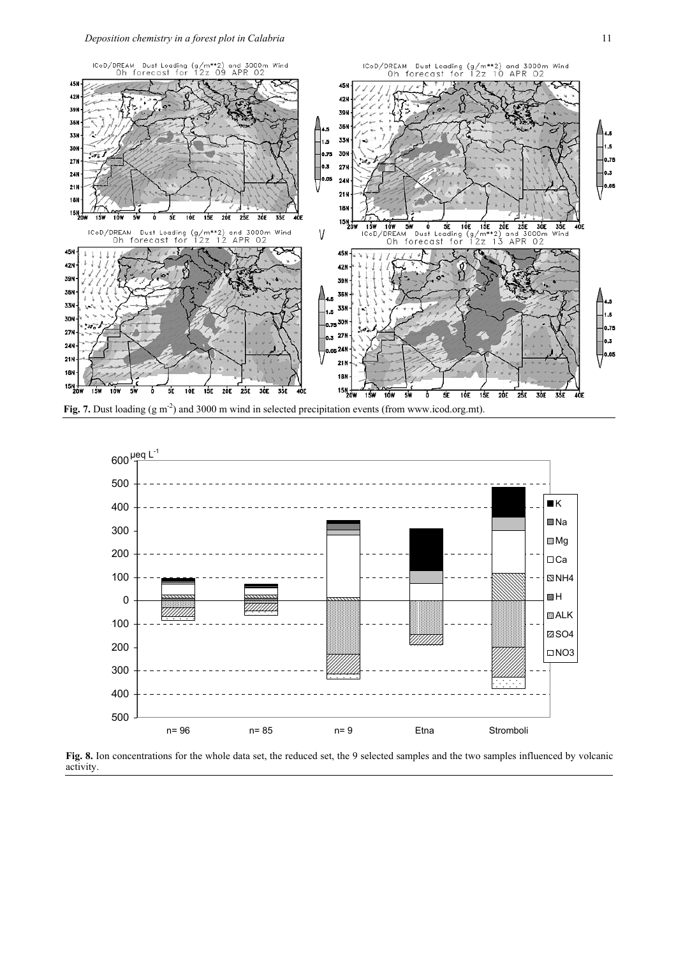

Fig. 7. Dust loading (g m<sup>-2</sup>) and 3000 m wind in selected precipitation events (from www.icod.org.mt).



**Fig. 8.** Ion concentrations for the whole data set, the reduced set, the 9 selected samples and the two samples influenced by volcanic activity.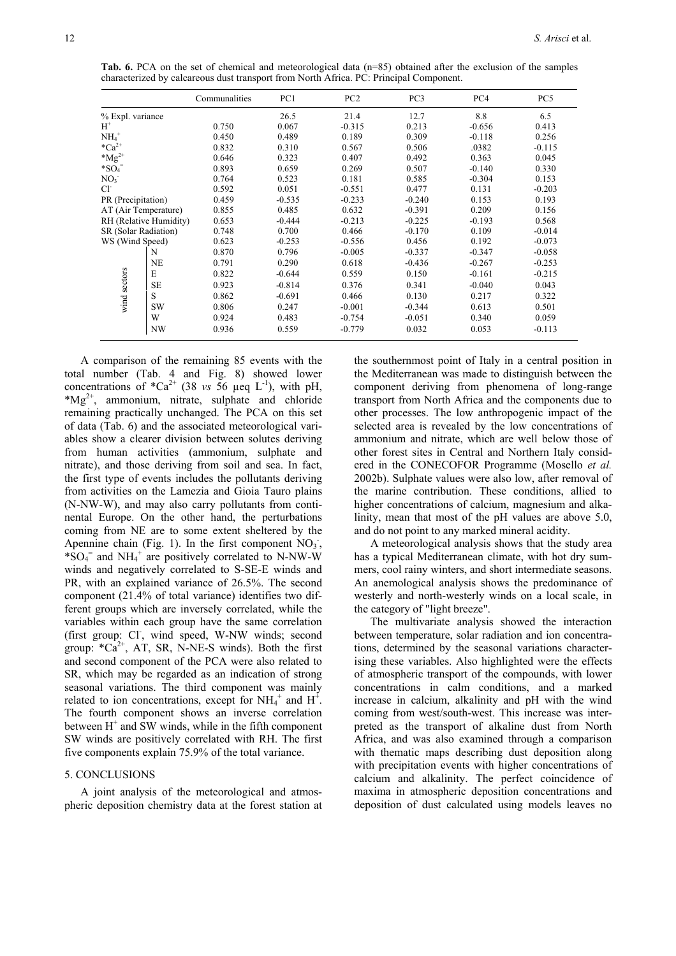| characterized by calcareous dust transport from North Africa. PC: Principal Component. |               |       |                 |                 |          |                 |  |  |  |  |
|----------------------------------------------------------------------------------------|---------------|-------|-----------------|-----------------|----------|-----------------|--|--|--|--|
|                                                                                        | Communalities | PC1   | PC <sub>2</sub> | PC <sub>3</sub> | PC4      | PC <sub>5</sub> |  |  |  |  |
| % Expl. variance                                                                       |               | 26.5  | 21.4            | 12.7            | 8.8      | 6.5             |  |  |  |  |
| $H^+$                                                                                  | 0.750         | 0.067 | $-0.315$        | 0.213           | $-0.656$ | 0.413           |  |  |  |  |
| $NH4+$                                                                                 | 0.450         | 0.489 | 0.189           | 0.309           | $-0.118$ | 0.256           |  |  |  |  |
| * $Ca^{2+}$                                                                            | 0.832         | 0.310 | 0.567           | 0.506           | .0382    | $-0.115$        |  |  |  |  |
| $*Mg^{2+}$                                                                             | 0.646         | 0.323 | 0.407           | 0.492           | 0.363    | 0.045           |  |  |  |  |
| $*SO_4$ <sup>=</sup>                                                                   | 0.893         | 0.659 | 0.269           | 0.507           | $-0.140$ | 0.330           |  |  |  |  |
| NO <sub>3</sub>                                                                        | 0.764         | 0.523 | 0.181           | 0.585           | $-0.304$ | 0.153           |  |  |  |  |
| CF.                                                                                    | 0.592         | 0.051 | $-0.551$        | 0.477           | 0.131    | $-0.203$        |  |  |  |  |

PR (Precipitation) 0.459 -0.535 -0.233 -0.240 0.153 0.193 AT (Air Temperature) 0.855 0.485 0.632 -0.391 0.209 0.156 RH (Relative Humidity) 0.653 -0.444 -0.213 -0.225 -0.193 0.568 SR (Solar Radiation) 0.748 0.700 0.466 -0.170 0.109 -0.014<br>WS (Wind Speed) 0.623 -0.253 -0.556 0.456 0.192 -0.073

> N 0.870 0.796 -0.005 -0.337 -0.347 -0.058 NE 0.791 0.290 0.618 -0.436 -0.267 -0.253 E 0.822 -0.644 0.559 0.150 -0.161 -0.215 SE 0.923 -0.814 0.376 0.341 -0.040 0.043 S 0.862 -0.691 0.466 0.130 0.217 0.322 SW 0.806 0.247 -0.001 -0.344 0.613 0.501 W 0.924 0.483 -0.754 -0.051 0.340 0.059

> NW 0.936 0.559 -0.779 0.032 0.053 -0.113

**Tab. 6.** PCA on the set of chemical and meteorological data (n=85) obtained after the exclusion of the samples

A comparison of the remaining 85 events with the total number (Tab. 4 and Fig. 8) showed lower concentrations of  $^{\ast}Ca^{2+}$  (38 *vs* 56 µeq L<sup>-1</sup>), with pH,  $*Mg^{2+}$ , ammonium, nitrate, sulphate and chloride remaining practically unchanged. The PCA on this set of data (Tab. 6) and the associated meteorological variables show a clearer division between solutes deriving from human activities (ammonium, sulphate and nitrate), and those deriving from soil and sea. In fact, the first type of events includes the pollutants deriving from activities on the Lamezia and Gioia Tauro plains (N-NW-W), and may also carry pollutants from continental Europe. On the other hand, the perturbations coming from NE are to some extent sheltered by the Apennine chain (Fig. 1). In the first component  $\overline{NO_3}$ ,  $*\overline{SO_4}^=$  and NH<sub>4</sub><sup>+</sup> are positively correlated to N-NW-W winds and negatively correlated to S-SE-E winds and PR, with an explained variance of 26.5%. The second component (21.4% of total variance) identifies two different groups which are inversely correlated, while the variables within each group have the same correlation (first group: Cl<sup>-</sup>, wind speed, W-NW winds; second group:  $*Ca^{2+}$ , AT, SR, N-NE-S winds). Both the first and second component of the PCA were also related to SR, which may be regarded as an indication of strong seasonal variations. The third component was mainly related to ion concentrations, except for  $NH_4^+$  and  $H^+$ . The fourth component shows an inverse correlation between  $H^+$  and SW winds, while in the fifth component SW winds are positively correlated with RH. The first five components explain 75.9% of the total variance.

#### 5. CONCLUSIONS

A joint analysis of the meteorological and atmospheric deposition chemistry data at the forest station at the southernmost point of Italy in a central position in the Mediterranean was made to distinguish between the component deriving from phenomena of long-range transport from North Africa and the components due to other processes. The low anthropogenic impact of the selected area is revealed by the low concentrations of ammonium and nitrate, which are well below those of other forest sites in Central and Northern Italy considered in the CONECOFOR Programme (Mosello *et al.* 2002b). Sulphate values were also low, after removal of the marine contribution. These conditions, allied to higher concentrations of calcium, magnesium and alkalinity, mean that most of the pH values are above 5.0, and do not point to any marked mineral acidity.

A meteorological analysis shows that the study area has a typical Mediterranean climate, with hot dry summers, cool rainy winters, and short intermediate seasons. An anemological analysis shows the predominance of westerly and north-westerly winds on a local scale, in the category of "light breeze".

The multivariate analysis showed the interaction between temperature, solar radiation and ion concentrations, determined by the seasonal variations characterising these variables. Also highlighted were the effects of atmospheric transport of the compounds, with lower concentrations in calm conditions, and a marked increase in calcium, alkalinity and pH with the wind coming from west/south-west. This increase was interpreted as the transport of alkaline dust from North Africa, and was also examined through a comparison with thematic maps describing dust deposition along with precipitation events with higher concentrations of calcium and alkalinity. The perfect coincidence of maxima in atmospheric deposition concentrations and deposition of dust calculated using models leaves no

WS (Wind Speed)

wind sectors

wind sectors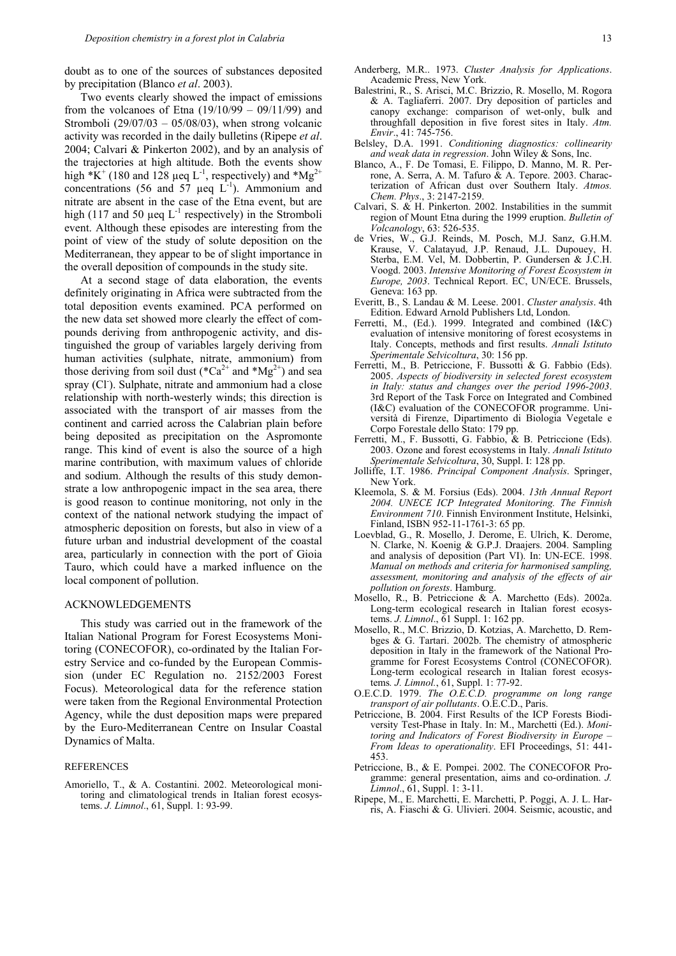doubt as to one of the sources of substances deposited by precipitation (Blanco *et al*. 2003).

Two events clearly showed the impact of emissions from the volcanoes of Etna  $(19/10/99 - 09/11/99)$  and Stromboli  $(29/07/03 - 05/08/03)$ , when strong volcanic activity was recorded in the daily bulletins (Ripepe *et al*. 2004; Calvari & Pinkerton 2002), and by an analysis of the trajectories at high altitude. Both the events show high  $*K^+$  (180 and 128 µeq L<sup>-1</sup>, respectively) and  $*Mg^{2+}$ concentrations (56 and 57  $\mu$ eq L<sup>-1</sup>). Ammonium and nitrate are absent in the case of the Etna event, but are high (117 and 50  $\mu$ eq L<sup>-1</sup> respectively) in the Stromboli event. Although these episodes are interesting from the point of view of the study of solute deposition on the Mediterranean, they appear to be of slight importance in the overall deposition of compounds in the study site.

At a second stage of data elaboration, the events definitely originating in Africa were subtracted from the total deposition events examined. PCA performed on the new data set showed more clearly the effect of compounds deriving from anthropogenic activity, and distinguished the group of variables largely deriving from human activities (sulphate, nitrate, ammonium) from those deriving from soil dust ( $^{\ast}Ca^{2+}$  and  $^{\ast}Mg^{2+}$ ) and sea spray (Cl<sup>-</sup>). Sulphate, nitrate and ammonium had a close relationship with north-westerly winds; this direction is associated with the transport of air masses from the continent and carried across the Calabrian plain before being deposited as precipitation on the Aspromonte range. This kind of event is also the source of a high marine contribution, with maximum values of chloride and sodium. Although the results of this study demonstrate a low anthropogenic impact in the sea area, there is good reason to continue monitoring, not only in the context of the national network studying the impact of atmospheric deposition on forests, but also in view of a future urban and industrial development of the coastal area, particularly in connection with the port of Gioia Tauro, which could have a marked influence on the local component of pollution.

## ACKNOWLEDGEMENTS

This study was carried out in the framework of the Italian National Program for Forest Ecosystems Monitoring (CONECOFOR), co-ordinated by the Italian Forestry Service and co-funded by the European Commission (under EC Regulation no. 2152/2003 Forest Focus). Meteorological data for the reference station were taken from the Regional Environmental Protection Agency, while the dust deposition maps were prepared by the Euro-Mediterranean Centre on Insular Coastal Dynamics of Malta.

#### REFERENCES

Amoriello, T., & A. Costantini. 2002. Meteorological monitoring and climatological trends in Italian forest ecosystems. *J. Limnol*., 61, Suppl. 1: 93-99.

- Anderberg, M.R.. 1973. *Cluster Analysis for Applications*. Academic Press, New York.
- Balestrini, R., S. Arisci, M.C. Brizzio, R. Mosello, M. Rogora & A. Tagliaferri. 2007. Dry deposition of particles and canopy exchange: comparison of wet-only, bulk and throughfall deposition in five forest sites in Italy. *Atm. Envir*., 41: 745-756.
- Belsley, D.A. 1991. *Conditioning diagnostics: collinearity and weak data in regression*. John Wiley & Sons, Inc.
- Blanco, A., F. De Tomasi, E. Filippo, D. Manno, M. R. Perrone, A. Serra, A. M. Tafuro & A. Tepore. 2003. Characterization of African dust over Southern Italy. *Atmos. Chem. Phys*., 3: 2147-2159.
- Calvari, S. & H. Pinkerton. 2002. Instabilities in the summit region of Mount Etna during the 1999 eruption. *Bulletin of Volcanology*, 63: 526-535.
- de Vries, W., G.J. Reinds, M. Posch, M.J. Sanz, G.H.M. Krause, V. Calatayud, J.P. Renaud, J.L. Dupouey, H. Sterba, E.M. Vel, M. Dobbertin, P. Gundersen & J.C.H. Voogd. 2003. *Intensive Monitoring of Forest Ecosystem in Europe, 2003*. Technical Report. EC, UN/ECE. Brussels, Geneva: 163 pp.
- Everitt, B., S. Landau & M. Leese. 2001. *Cluster analysis*. 4th Edition. Edward Arnold Publishers Ltd, London.
- Ferretti, M., (Ed.). 1999. Integrated and combined (I&C) evaluation of intensive monitoring of forest ecosystems in Italy. Concepts, methods and first results. *Annali Istituto Sperimentale Selvicoltura*, 30: 156 pp.
- Ferretti, M., B. Petriccione, F. Bussotti & G. Fabbio (Eds). 2005. *Aspects of biodiversity in selected forest ecosystem in Italy: status and changes over the period 1996-2003*. 3rd Report of the Task Force on Integrated and Combined (I&C) evaluation of the CONECOFOR programme. Università di Firenze, Dipartimento di Biologia Vegetale e Corpo Forestale dello Stato: 179 pp.
- Ferretti, M., F. Bussotti, G. Fabbio, & B. Petriccione (Eds). 2003. Ozone and forest ecosystems in Italy. *Annali Istituto Sperimentale Selvicoltura*, 30, Suppl. I: 128 pp.
- Jolliffe, I.T. 1986. *Principal Component Analysis*. Springer, New York.
- Kleemola, S. & M. Forsius (Eds). 2004. *13th Annual Report 2004. UNECE ICP Integrated Monitoring. The Finnish Environment 710*. Finnish Environment Institute, Helsinki, Finland, ISBN 952-11-1761-3: 65 pp.
- Loevblad, G., R. Mosello, J. Derome, E. Ulrich, K. Derome, N. Clarke, N. Koenig & G.P.J. Draajers. 2004. Sampling and analysis of deposition (Part VI). In: UN-ECE. 1998. *Manual on methods and criteria for harmonised sampling, assessment, monitoring and analysis of the effects of air pollution on forests*. Hamburg.
- Mosello, R., B. Petriccione & A. Marchetto (Eds). 2002a. Long-term ecological research in Italian forest ecosystems. *J. Limnol*., 61 Suppl. 1: 162 pp.
- Mosello, R., M.C. Brizzio, D. Kotzias, A. Marchetto, D. Rembges  $\&$  G. Tartari. 2002b. The chemistry of atmospheric deposition in Italy in the framework of the National Programme for Forest Ecosystems Control (CONECOFOR). Long-term ecological research in Italian forest ecosystems*. J. Limnol.*, 61, Suppl. 1: 77-92.
- O.E.C.D. 1979. *The O.E.C.D. programme on long range transport of air pollutants*. O.E.C.D., Paris.
- Petriccione, B. 2004. First Results of the ICP Forests Biodiversity Test-Phase in Italy. In: M., Marchetti (Ed.). *Monitoring and Indicators of Forest Biodiversity in Europe – From Ideas to operationality*. EFI Proceedings, 51: 441- 453.
- Petriccione, B., & E. Pompei. 2002. The CONECOFOR Programme: general presentation, aims and co-ordination. *J. Limnol*., 61, Suppl. 1: 3-11.
- Ripepe, M., E. Marchetti, E. Marchetti, P. Poggi, A. J. L. Harris, A. Fiaschi & G. Ulivieri. 2004. Seismic, acoustic, and